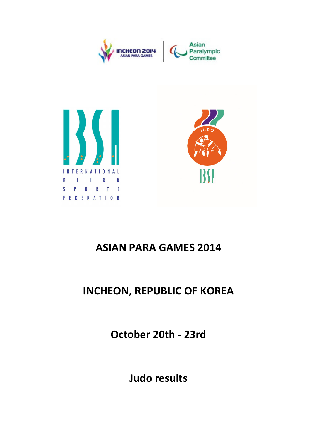

# ASIAN PARA GAMES 2014

**FEDERATION** 

## INCHEON, REPUBLIC OF KOREA

October 20th - 23rd

Judo results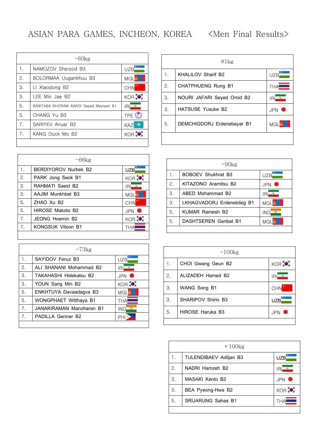|                | $-60kg$                               |                   |
|----------------|---------------------------------------|-------------------|
| 1.             | NAMOZOV Sherzod B3                    | <b>UZB</b>        |
| 2.             | BOLORMAA Uugankhuu B3                 | <b>MGL</b>        |
| 3.             | LI Xiaodong B2                        | <b>CHN</b>        |
| 3.             | LEE Min Jae B2                        | KOR <sup>30</sup> |
| 5.             | BANITABA KHORAM ABADI Seyed Meysam B1 | ۰<br>IRI          |
| 5.             | CHANG Yu B3                           | TPE ©             |
| 7 <sub>1</sub> | SARIYEV Anuar B2                      | KA.               |
| 7 <sub>1</sub> | KANG Duck Mo B2                       | KOR               |
|                |                                       |                   |

| <b>KHALILOV Sharif B2</b><br>1.<br>2.<br>CHATPHUENG Rung B1<br>3.<br>NOURI JAFARI Seyed Omid B2<br>З.<br><b>HATSUSE Yusuke B2</b> | <b>UZB</b><br>THA |
|-----------------------------------------------------------------------------------------------------------------------------------|-------------------|
|                                                                                                                                   |                   |
|                                                                                                                                   |                   |
|                                                                                                                                   | ΙR                |
|                                                                                                                                   | <b>JPN</b>        |
| 5.<br>DEMCHIGDORJ Erdenebayar B1                                                                                                  | MGL               |

|                | $-66$ kg                    |                  |
|----------------|-----------------------------|------------------|
| 1.             | <b>BERDIYOROV Nurbek B2</b> | <b>UZB</b>       |
| 2.             | PARK Jong Seok B1           | KOR <sup>3</sup> |
| 3.             | RAHMATI Saeid B2            | ۰<br>IRI         |
| 3.             | AAJIM Munkhbat B3           | <b>MGL</b>       |
| 5.             | ZHAO Xu B <sub>2</sub>      | <b>CHN</b>       |
| 5.             | HIROSE Makoto B2            | <b>JPN</b>       |
| 7 <sub>1</sub> | JFONG Hoemin B2             | KOR              |
| 7.             | <b>KONGSUK Vitoon B1</b>    | THA              |

|                | $-73kg$                  |            |
|----------------|--------------------------|------------|
| 1.             | SAYIDOV Feruz B3         | UZB        |
| 2.             | ALI SHANANI Mohammad B2  | IRI        |
| 3.             | TAKAHASHI Hidekatsu B2   | JPN.       |
| 3.             | YOUN Sang Min B2         | KOR        |
| 5.             | ENKHTUYA Davaadagva B3   | MGL        |
| 5.             | WONGPHAET Witthaya B1    | <b>THA</b> |
| 7.             | JANAKIRAMAN Manoharan B1 | IND<br>69  |
| 7 <sub>1</sub> | PADILLA Genner B2        | PН         |
|                |                          |            |

|    | $-90$ kg                   |                  |
|----|----------------------------|------------------|
| 1. | <b>BOBOEV Shukhrat B3</b>  | UZB              |
| 2. | KITAZONO Aramitsu B2       | <b>JPN</b>       |
| З. | ABFD Mohammad B2           | $\bullet$<br>IRI |
| 3. | LKHAGVADORJ Erdenebileg B1 | MGL              |
| 5. | KUMAR Ramesh B2            | INC              |
| 5. | DASHTSEREN Ganbat B1       | MGI              |
|    |                            |                  |

|    | $-100$ kg          |                  |
|----|--------------------|------------------|
| 1. | CHOI Gwang Geun B2 | KOR              |
| 2. | ALIZADEH Hamed B2  | $\bullet$<br>IRI |
| 3. | WANG Song B1       | CHN              |
| З. | SHARIPOV Shirin B3 | <b>UZB</b>       |
| 5. | HIROSE Haruka B3   | <b>JPN</b>       |
|    |                    |                  |

|                       | $+100$ kg                 |                  |
|-----------------------|---------------------------|------------------|
| 1.                    | TULENDIBAEV Adiljan B3    | <b>UZB</b>       |
| $\mathcal{P}_{\cdot}$ | NADRI Hamzeh B2           | ۰<br>IRI         |
| З.                    | MASAKI Kento B2           | <b>JPN</b>       |
| З.                    | BEA Pyeong-Hwa B2         | KOR <sup>5</sup> |
| 5.                    | <b>SRIJARUNG Sahas B1</b> |                  |
|                       |                           |                  |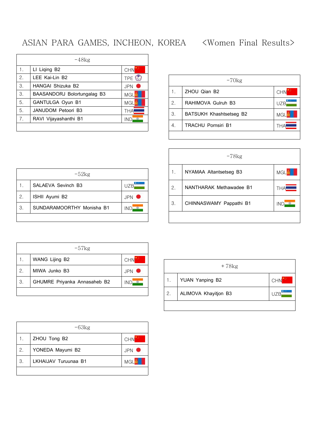#### ASIAN PARA GAMES, INCHEON, KOREA <Women Final Results>

|    | $-48kg$                     |            |
|----|-----------------------------|------------|
| 1. | LI Liging B2                | <b>CHN</b> |
| 2. | LEE Kai-Lin B2              | TPE &      |
| 3. | HANGAI Shizuka B2           | <b>JPN</b> |
| 3. | BAASANDORJ Bolortungalag B3 | <b>MGL</b> |
| 5. | GANTULGA Oyun B1            | MGL        |
| 5. | JANUDOM Petoori B3          | THA        |
| 7. | RAVI Vijayashanthi B1       | ine        |
|    |                             |            |

|    | $-70$ kg                  |            |
|----|---------------------------|------------|
|    | ZHOU Qian B2              | <b>CHN</b> |
| 2. | RAHIMOVA Gulruh B3        | UZB        |
| З. | BATSUKH Khashtsetseg B2   | <b>MGL</b> |
| 4. | <b>TRACHU Pornsiri B1</b> | THA        |
|    |                           |            |

|    | $-78$ kg                |            |
|----|-------------------------|------------|
| 1. | NYAMAA Altantsetseg B3  | <b>MGL</b> |
| 2. | NANTHARAK Methawadee B1 | <b>THA</b> |
| 3. | CHINNASWAMY Pappathi B1 | IND        |
|    |                         |            |

|    | $-52kg$                   |      |
|----|---------------------------|------|
|    | SALAEVA Sevinch B3        | UZB  |
| 2. | ISHII Ayumi B2            | JPN. |
| 3. | SUNDARAMOORTHY Monisha B1 | INF  |
|    |                           |      |

| WANG Lijing B2                     |            |
|------------------------------------|------------|
|                                    | <b>CHN</b> |
| 2.<br>MIWA Junko B3                | <b>JPN</b> |
| 3.<br>GHUMRE Priyanka Annasaheb B2 | INI        |

|    | $+78kg$              |            |
|----|----------------------|------------|
|    | YUAN Yanping B2      | <b>CHN</b> |
| 2. | ALIMOVA Khayitjon B3 | UZB        |
|    |                      |            |

| ZHOU Tong B2               |            |
|----------------------------|------------|
|                            | <b>CHN</b> |
| YONEDA Mayumi B2<br>2.     | <b>JPN</b> |
| LKHAIJAV Turuunaa B1<br>З. | MGL        |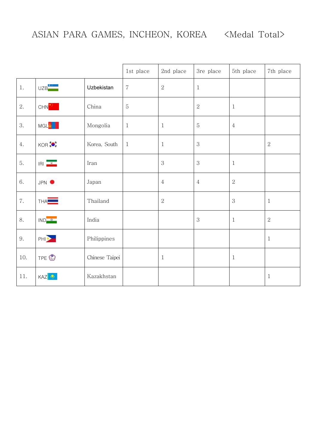|     |                     |                | 1st place      | 2nd place      | 3re place      | 5th place    | 7th place    |
|-----|---------------------|----------------|----------------|----------------|----------------|--------------|--------------|
| 1.  | UZB                 | Uzbekistan     | $\overline{7}$ | $\sqrt{2}$     | $\mathbf{1}$   |              |              |
| 2.  | CHN <sup>**</sup>   | China          | $\mathbf 5$    |                | $\sqrt{2}$     | $1\,$        |              |
| 3.  | MGL <sup>tt</sup>   | Mongolia       | $\mathbf{1}$   | $\mathbf{1}$   | $\sqrt{5}$     | $\sqrt{4}$   |              |
| 4.  | KOR                 | Korea, South   | $\mathbf{1}$   | $\mathbf{1}$   | $\mathfrak{S}$ |              | $\sqrt{2}$   |
| 5.  | $IRI$ $\frac{9}{2}$ | Iran           |                | 3              | $\mathfrak{S}$ | $\mathbf{1}$ |              |
| 6.  | JPN <sup>O</sup>    | Japan          |                | $\,4\,$        | $\overline{4}$ | $\sqrt{2}$   |              |
| 7.  | THA <b>LL</b>       | Thailand       |                | $\overline{2}$ |                | 3            | $1\,$        |
| 8.  | $IND_2$             | India          |                |                | $\,3$          | $\mathbf{1}$ | $\sqrt{2}$   |
| 9.  | PH <sub>2</sub>     | Philippines    |                |                |                |              | $1\,$        |
| 10. | TPE <sup>①</sup>    | Chinese Taipei |                | $\mathbf{1}$   |                | $\mathbf{1}$ |              |
| 11. | KAZ <b>O</b>        | Kazakhstan     |                |                |                |              | $\mathbf{1}$ |